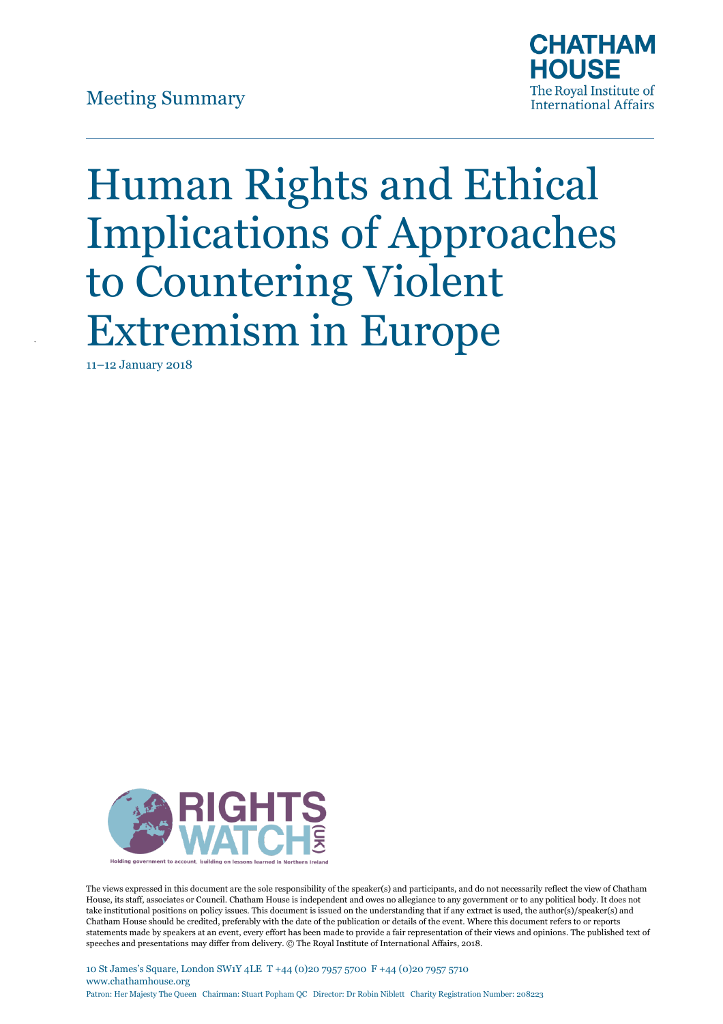

# Human Rights and Ethical Implications of Approaches to Countering Violent Extremism in Europe

11–12 January 2018



The views expressed in this document are the sole responsibility of the speaker(s) and participants, and do not necessarily reflect the view of Chatham House, its staff, associates or Council. Chatham House is independent and owes no allegiance to any government or to any political body. It does not take institutional positions on policy issues. This document is issued on the understanding that if any extract is used, the author(s)/speaker(s) and Chatham House should be credited, preferably with the date of the publication or details of the event. Where this document refers to or reports statements made by speakers at an event, every effort has been made to provide a fair representation of their views and opinions. The published text of speeches and presentations may differ from delivery. © The Royal Institute of International Affairs, 2018.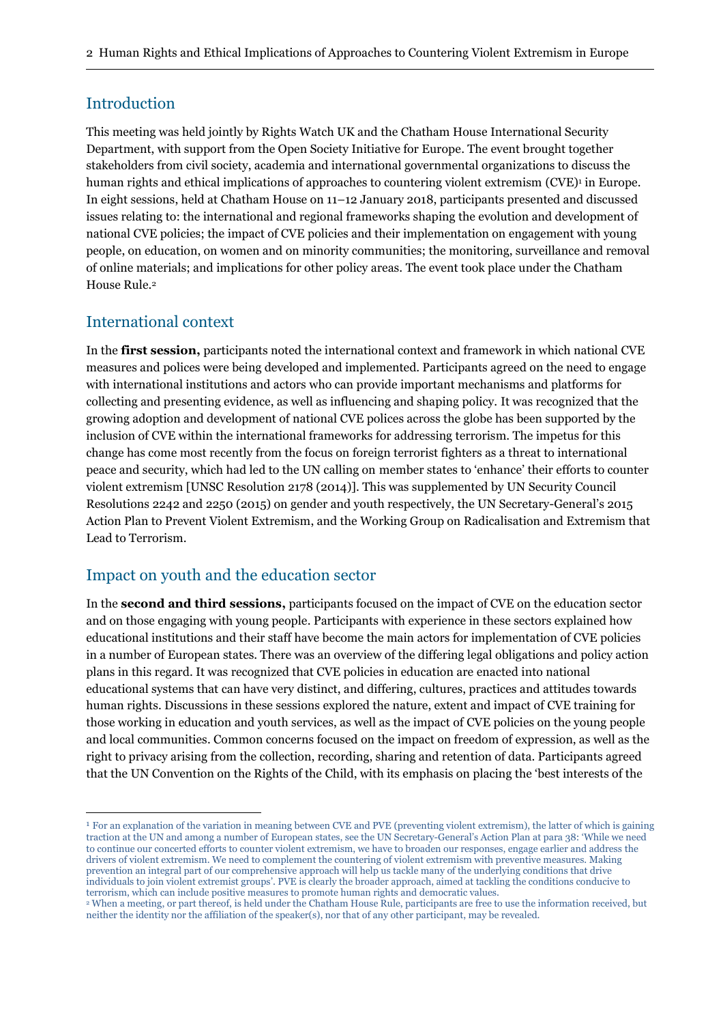#### Introduction

This meeting was held jointly by Rights Watch UK and the Chatham House International Security Department, with support from the Open Society Initiative for Europe. The event brought together stakeholders from civil society, academia and international governmental organizations to discuss the human rights and ethical implications of approaches to countering violent extremism (CVE)<sup>,</sup> in Europe. In eight sessions, held at Chatham House on 11–12 January 2018, participants presented and discussed issues relating to: the international and regional frameworks shaping the evolution and development of national CVE policies; the impact of CVE policies and their implementation on engagement with young people, on education, on women and on minority communities; the monitoring, surveillance and removal of online materials; and implications for other policy areas. The event took place under the Chatham House Rule.<sup>2</sup>

## International context

 $\overline{a}$ 

In the **first session,** participants noted the international context and framework in which national CVE measures and polices were being developed and implemented. Participants agreed on the need to engage with international institutions and actors who can provide important mechanisms and platforms for collecting and presenting evidence, as well as influencing and shaping policy. It was recognized that the growing adoption and development of national CVE polices across the globe has been supported by the inclusion of CVE within the international frameworks for addressing terrorism. The impetus for this change has come most recently from the focus on foreign terrorist fighters as a threat to international peace and security, which had led to the UN calling on member states to 'enhance' their efforts to counter violent extremism [UNSC Resolution 2178 (2014)]. This was supplemented by UN Security Council Resolutions 2242 and 2250 (2015) on gender and youth respectively, the UN Secretary-General's 2015 Action Plan to Prevent Violent Extremism, and the Working Group on Radicalisation and Extremism that Lead to Terrorism.

## Impact on youth and the education sector

In the **second and third sessions,** participants focused on the impact of CVE on the education sector and on those engaging with young people. Participants with experience in these sectors explained how educational institutions and their staff have become the main actors for implementation of CVE policies in a number of European states. There was an overview of the differing legal obligations and policy action plans in this regard. It was recognized that CVE policies in education are enacted into national educational systems that can have very distinct, and differing, cultures, practices and attitudes towards human rights. Discussions in these sessions explored the nature, extent and impact of CVE training for those working in education and youth services, as well as the impact of CVE policies on the young people and local communities. Common concerns focused on the impact on freedom of expression, as well as the right to privacy arising from the collection, recording, sharing and retention of data. Participants agreed that the UN Convention on the Rights of the Child, with its emphasis on placing the 'best interests of the

<sup>1</sup> For an explanation of the variation in meaning between CVE and PVE (preventing violent extremism), the latter of which is gaining traction at the UN and among a number of European states, see the UN Secretary-General's Action Plan at para 38: 'While we need to continue our concerted efforts to counter violent extremism, we have to broaden our responses, engage earlier and address the drivers of violent extremism. We need to complement the countering of violent extremism with preventive measures. Making prevention an integral part of our comprehensive approach will help us tackle many of the underlying conditions that drive individuals to join violent extremist groups'. PVE is clearly the broader approach, aimed at tackling the conditions conducive to terrorism, which can include positive measures to promote human rights and democratic values.

<sup>2</sup> When a meeting, or part thereof, is held under the Chatham House Rule, participants are free to use the information received, but neither the identity nor the affiliation of the speaker(s), nor that of any other participant, may be revealed.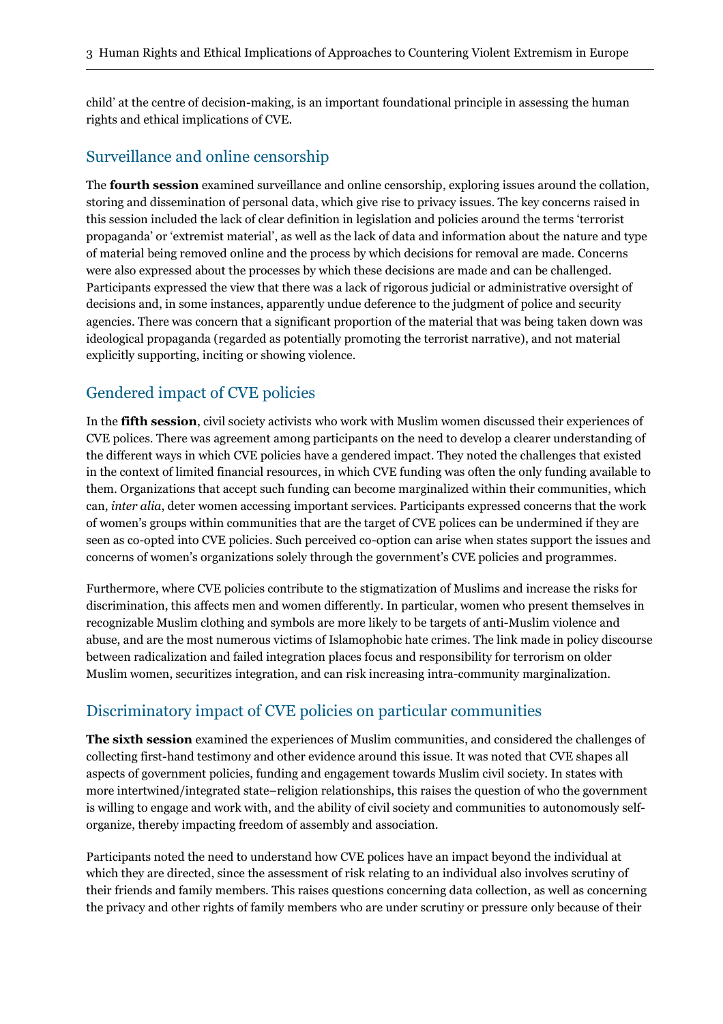child' at the centre of decision-making, is an important foundational principle in assessing the human rights and ethical implications of CVE.

#### Surveillance and online censorship

The **fourth session** examined surveillance and online censorship, exploring issues around the collation, storing and dissemination of personal data, which give rise to privacy issues. The key concerns raised in this session included the lack of clear definition in legislation and policies around the terms 'terrorist propaganda' or 'extremist material', as well as the lack of data and information about the nature and type of material being removed online and the process by which decisions for removal are made. Concerns were also expressed about the processes by which these decisions are made and can be challenged. Participants expressed the view that there was a lack of rigorous judicial or administrative oversight of decisions and, in some instances, apparently undue deference to the judgment of police and security agencies. There was concern that a significant proportion of the material that was being taken down was ideological propaganda (regarded as potentially promoting the terrorist narrative), and not material explicitly supporting, inciting or showing violence.

## Gendered impact of CVE policies

In the **fifth session**, civil society activists who work with Muslim women discussed their experiences of CVE polices. There was agreement among participants on the need to develop a clearer understanding of the different ways in which CVE policies have a gendered impact. They noted the challenges that existed in the context of limited financial resources, in which CVE funding was often the only funding available to them. Organizations that accept such funding can become marginalized within their communities, which can, *inter alia*, deter women accessing important services. Participants expressed concerns that the work of women's groups within communities that are the target of CVE polices can be undermined if they are seen as co-opted into CVE policies. Such perceived co-option can arise when states support the issues and concerns of women's organizations solely through the government's CVE policies and programmes.

Furthermore, where CVE policies contribute to the stigmatization of Muslims and increase the risks for discrimination, this affects men and women differently. In particular, women who present themselves in recognizable Muslim clothing and symbols are more likely to be targets of anti-Muslim violence and abuse, and are the most numerous victims of Islamophobic hate crimes. The link made in policy discourse between radicalization and failed integration places focus and responsibility for terrorism on older Muslim women, securitizes integration, and can risk increasing intra-community marginalization.

## Discriminatory impact of CVE policies on particular communities

**The sixth session** examined the experiences of Muslim communities, and considered the challenges of collecting first-hand testimony and other evidence around this issue. It was noted that CVE shapes all aspects of government policies, funding and engagement towards Muslim civil society. In states with more intertwined/integrated state–religion relationships, this raises the question of who the government is willing to engage and work with, and the ability of civil society and communities to autonomously selforganize, thereby impacting freedom of assembly and association.

Participants noted the need to understand how CVE polices have an impact beyond the individual at which they are directed, since the assessment of risk relating to an individual also involves scrutiny of their friends and family members. This raises questions concerning data collection, as well as concerning the privacy and other rights of family members who are under scrutiny or pressure only because of their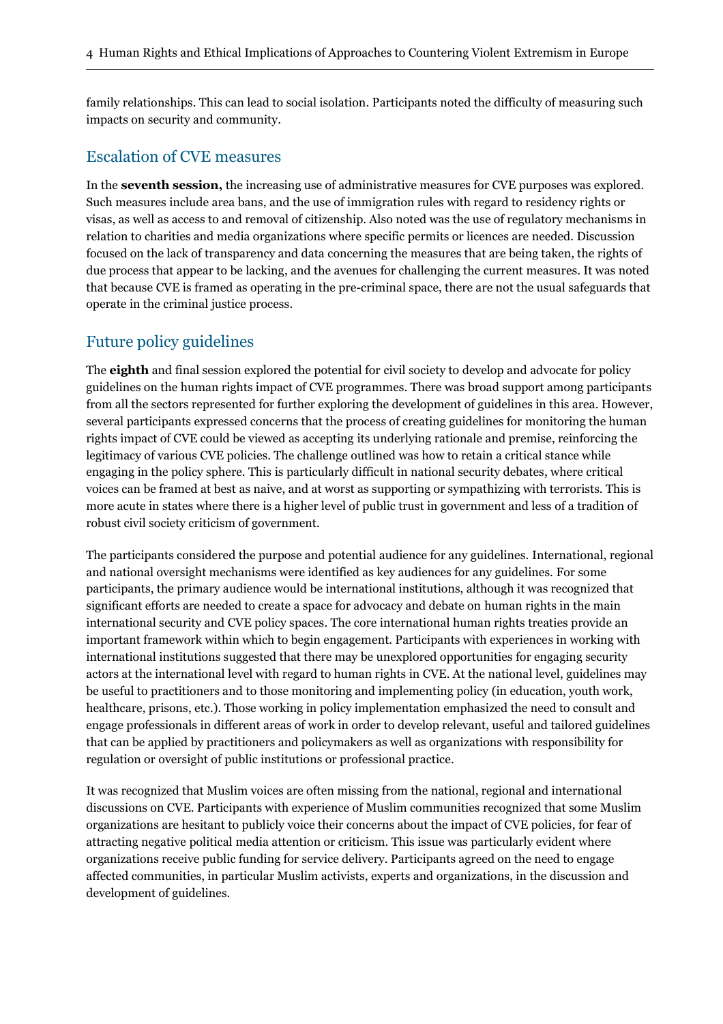family relationships. This can lead to social isolation. Participants noted the difficulty of measuring such impacts on security and community.

#### Escalation of CVE measures

In the **seventh session,** the increasing use of administrative measures for CVE purposes was explored. Such measures include area bans, and the use of immigration rules with regard to residency rights or visas, as well as access to and removal of citizenship. Also noted was the use of regulatory mechanisms in relation to charities and media organizations where specific permits or licences are needed. Discussion focused on the lack of transparency and data concerning the measures that are being taken, the rights of due process that appear to be lacking, and the avenues for challenging the current measures. It was noted that because CVE is framed as operating in the pre-criminal space, there are not the usual safeguards that operate in the criminal justice process.

#### Future policy guidelines

The **eighth** and final session explored the potential for civil society to develop and advocate for policy guidelines on the human rights impact of CVE programmes. There was broad support among participants from all the sectors represented for further exploring the development of guidelines in this area. However, several participants expressed concerns that the process of creating guidelines for monitoring the human rights impact of CVE could be viewed as accepting its underlying rationale and premise, reinforcing the legitimacy of various CVE policies. The challenge outlined was how to retain a critical stance while engaging in the policy sphere. This is particularly difficult in national security debates, where critical voices can be framed at best as naive, and at worst as supporting or sympathizing with terrorists. This is more acute in states where there is a higher level of public trust in government and less of a tradition of robust civil society criticism of government.

The participants considered the purpose and potential audience for any guidelines. International, regional and national oversight mechanisms were identified as key audiences for any guidelines. For some participants, the primary audience would be international institutions, although it was recognized that significant efforts are needed to create a space for advocacy and debate on human rights in the main international security and CVE policy spaces. The core international human rights treaties provide an important framework within which to begin engagement. Participants with experiences in working with international institutions suggested that there may be unexplored opportunities for engaging security actors at the international level with regard to human rights in CVE. At the national level, guidelines may be useful to practitioners and to those monitoring and implementing policy (in education, youth work, healthcare, prisons, etc.). Those working in policy implementation emphasized the need to consult and engage professionals in different areas of work in order to develop relevant, useful and tailored guidelines that can be applied by practitioners and policymakers as well as organizations with responsibility for regulation or oversight of public institutions or professional practice.

It was recognized that Muslim voices are often missing from the national, regional and international discussions on CVE. Participants with experience of Muslim communities recognized that some Muslim organizations are hesitant to publicly voice their concerns about the impact of CVE policies, for fear of attracting negative political media attention or criticism. This issue was particularly evident where organizations receive public funding for service delivery. Participants agreed on the need to engage affected communities, in particular Muslim activists, experts and organizations, in the discussion and development of guidelines.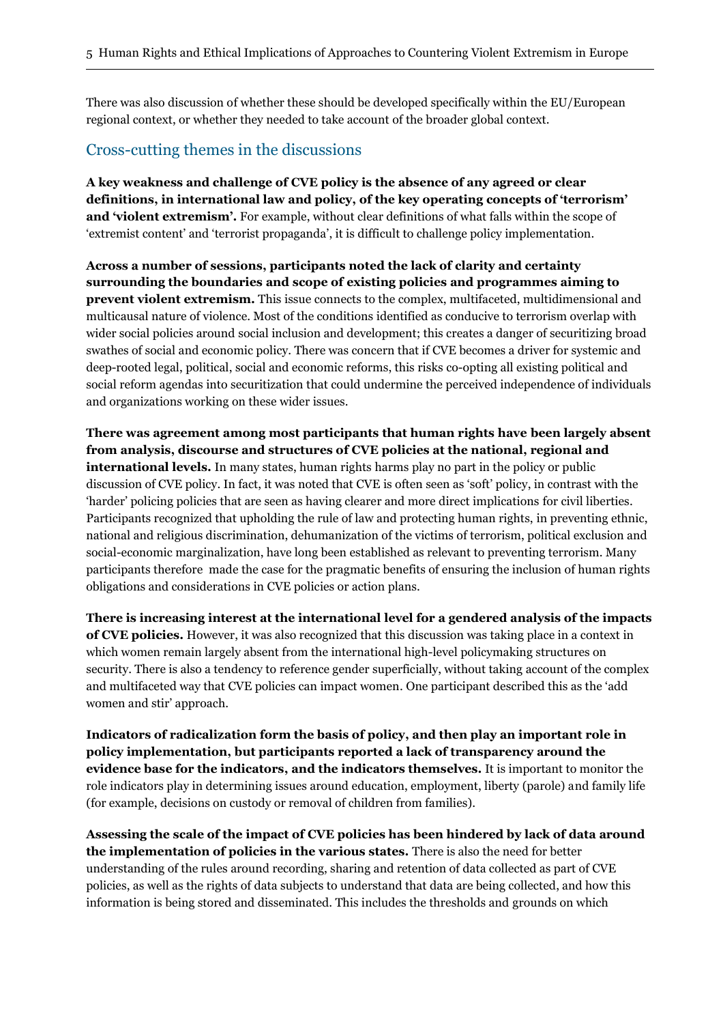There was also discussion of whether these should be developed specifically within the EU/European regional context, or whether they needed to take account of the broader global context.

#### Cross-cutting themes in the discussions

**A key weakness and challenge of CVE policy is the absence of any agreed or clear definitions, in international law and policy, of the key operating concepts of 'terrorism' and 'violent extremism'.** For example, without clear definitions of what falls within the scope of 'extremist content' and 'terrorist propaganda', it is difficult to challenge policy implementation.

**Across a number of sessions, participants noted the lack of clarity and certainty surrounding the boundaries and scope of existing policies and programmes aiming to prevent violent extremism.** This issue connects to the complex, multifaceted, multidimensional and multicausal nature of violence. Most of the conditions identified as conducive to terrorism overlap with wider social policies around social inclusion and development; this creates a danger of securitizing broad swathes of social and economic policy. There was concern that if CVE becomes a driver for systemic and deep-rooted legal, political, social and economic reforms, this risks co-opting all existing political and social reform agendas into securitization that could undermine the perceived independence of individuals and organizations working on these wider issues.

**There was agreement among most participants that human rights have been largely absent from analysis, discourse and structures of CVE policies at the national, regional and international levels.** In many states, human rights harms play no part in the policy or public discussion of CVE policy. In fact, it was noted that CVE is often seen as 'soft' policy, in contrast with the 'harder' policing policies that are seen as having clearer and more direct implications for civil liberties. Participants recognized that upholding the rule of law and protecting human rights, in preventing ethnic, national and religious discrimination, dehumanization of the victims of terrorism, political exclusion and social-economic marginalization, have long been established as relevant to preventing terrorism. Many participants therefore made the case for the pragmatic benefits of ensuring the inclusion of human rights obligations and considerations in CVE policies or action plans.

**There is increasing interest at the international level for a gendered analysis of the impacts of CVE policies.** However, it was also recognized that this discussion was taking place in a context in which women remain largely absent from the international high-level policymaking structures on security. There is also a tendency to reference gender superficially, without taking account of the complex and multifaceted way that CVE policies can impact women. One participant described this as the 'add women and stir' approach.

**Indicators of radicalization form the basis of policy, and then play an important role in policy implementation, but participants reported a lack of transparency around the evidence base for the indicators, and the indicators themselves.** It is important to monitor the role indicators play in determining issues around education, employment, liberty (parole) and family life (for example, decisions on custody or removal of children from families).

**Assessing the scale of the impact of CVE policies has been hindered by lack of data around the implementation of policies in the various states.** There is also the need for better understanding of the rules around recording, sharing and retention of data collected as part of CVE policies, as well as the rights of data subjects to understand that data are being collected, and how this information is being stored and disseminated. This includes the thresholds and grounds on which